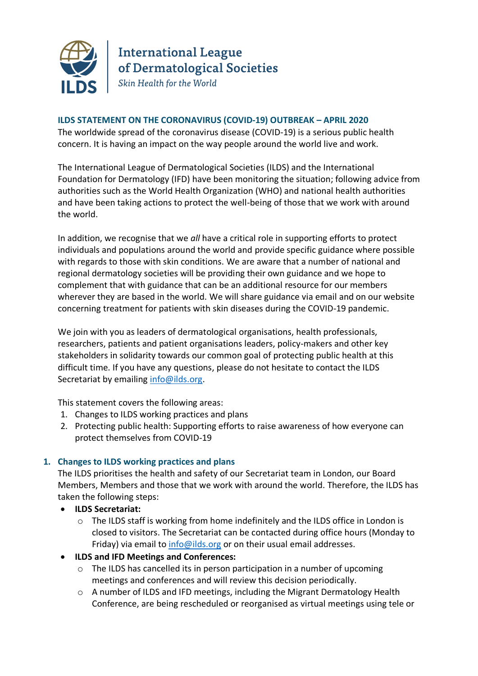

**International League** of Dermatological Societies Skin Health for the World

## **ILDS STATEMENT ON THE CORONAVIRUS (COVID-19) OUTBREAK – APRIL 2020**

The worldwide spread of the coronavirus disease (COVID-19) is a serious public health concern. It is having an impact on the way people around the world live and work.

The International League of Dermatological Societies (ILDS) and the International Foundation for Dermatology (IFD) have been monitoring the situation; following advice from authorities such as the World Health Organization (WHO) and national health authorities and have been taking actions to protect the well-being of those that we work with around the world.

In addition, we recognise that we *all* have a critical role in supporting efforts to protect individuals and populations around the world and provide specific guidance where possible with regards to those with skin conditions. We are aware that a number of national and regional dermatology societies will be providing their own guidance and we hope to complement that with guidance that can be an additional resource for our members wherever they are based in the world. We will share guidance via email and on our website concerning treatment for patients with skin diseases during the COVID-19 pandemic.

We join with you as leaders of dermatological organisations, health professionals, researchers, patients and patient organisations leaders, policy-makers and other key stakeholders in solidarity towards our common goal of protecting public health at this difficult time. If you have any questions, please do not hesitate to contact the ILDS Secretariat by emailing [info@ilds.org.](mailto:info@ilds.org)

This statement covers the following areas:

- 1. Changes to ILDS working practices and plans
- 2. Protecting public health: Supporting efforts to raise awareness of how everyone can protect themselves from COVID-19

# **1. Changes to ILDS working practices and plans**

The ILDS prioritises the health and safety of our Secretariat team in London, our Board Members, Members and those that we work with around the world. Therefore, the ILDS has taken the following steps:

- **ILDS Secretariat:** 
	- o The ILDS staff is working from home indefinitely and the ILDS office in London is closed to visitors. The Secretariat can be contacted during office hours (Monday to Friday) via email to [info@ilds.org](mailto:info@ilds.org) or on their usual email addresses.
- **ILDS and IFD Meetings and Conferences:**
	- o The ILDS has cancelled its in person participation in a number of upcoming meetings and conferences and will review this decision periodically.
	- o A number of ILDS and IFD meetings, including the Migrant Dermatology Health Conference, are being rescheduled or reorganised as virtual meetings using tele or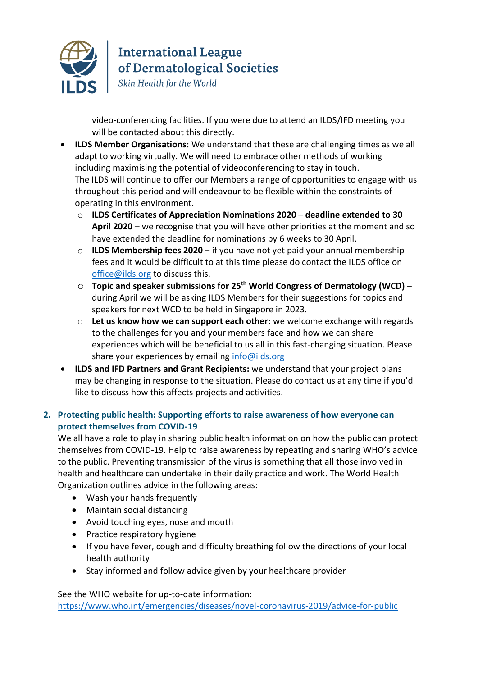

**International League** of Dermatological Societies

Skin Health for the World

video-conferencing facilities. If you were due to attend an ILDS/IFD meeting you will be contacted about this directly.

- **ILDS Member Organisations:** We understand that these are challenging times as we all adapt to working virtually. We will need to embrace other methods of working including maximising the potential of videoconferencing to stay in touch. The ILDS will continue to offer our Members a range of opportunities to engage with us throughout this period and will endeavour to be flexible within the constraints of operating in this environment.
	- o **ILDS Certificates of Appreciation Nominations 2020 – deadline extended to 30 April 2020** – we recognise that you will have other priorities at the moment and so have extended the deadline for nominations by 6 weeks to 30 April.
	- o **ILDS Membership fees 2020** if you have not yet paid your annual membership fees and it would be difficult to at this time please do contact the ILDS office on [office@ilds.org](mailto:office@ilds.org) to discuss this.
	- o **Topic and speaker submissions for 25th World Congress of Dermatology (WCD)** during April we will be asking ILDS Members for their suggestions for topics and speakers for next WCD to be held in Singapore in 2023.
	- o **Let us know how we can support each other:** we welcome exchange with regards to the challenges for you and your members face and how we can share experiences which will be beneficial to us all in this fast-changing situation. Please share your experiences by emailing [info@ilds.org](mailto:info@ilds.org)
- **ILDS and IFD Partners and Grant Recipients:** we understand that your project plans may be changing in response to the situation. Please do contact us at any time if you'd like to discuss how this affects projects and activities.

# **2. Protecting public health: Supporting efforts to raise awareness of how everyone can protect themselves from COVID-19**

We all have a role to play in sharing public health information on how the public can protect themselves from COVID-19. Help to raise awareness by repeating and sharing WHO's advice to the public. Preventing transmission of the virus is something that all those involved in health and healthcare can undertake in their daily practice and work. The World Health Organization outlines advice in the following areas:

- Wash your hands frequently
- Maintain social distancing
- Avoid touching eyes, nose and mouth
- Practice respiratory hygiene
- If you have fever, cough and difficulty breathing follow the directions of your local health authority
- Stay informed and follow advice given by your healthcare provider

See the WHO website for up-to-date information:

<https://www.who.int/emergencies/diseases/novel-coronavirus-2019/advice-for-public>